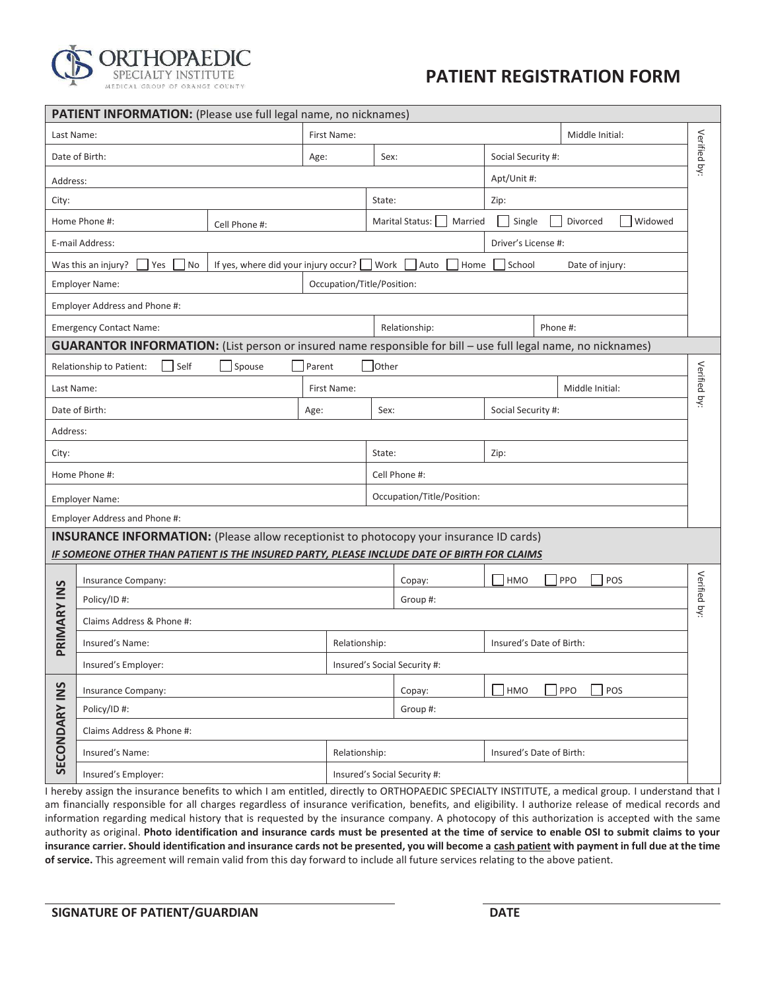

## **PATIENT REGISTRATION FORM**

|                      | <b>PATIENT INFORMATION:</b> (Please use full legal name, no nicknames)                                               |                                      |        |                            |              |                              |                          |                            |              |
|----------------------|----------------------------------------------------------------------------------------------------------------------|--------------------------------------|--------|----------------------------|--------------|------------------------------|--------------------------|----------------------------|--------------|
| Last Name:           |                                                                                                                      |                                      |        | First Name:                |              |                              |                          | Middle Initial:            |              |
|                      | Date of Birth:                                                                                                       |                                      | Age:   |                            | Sex:         |                              | Social Security #:       |                            | Verified by: |
| Address:             |                                                                                                                      |                                      |        |                            |              |                              | Apt/Unit #:              |                            |              |
| City:                |                                                                                                                      |                                      |        |                            | State:       |                              | Zip:                     |                            |              |
|                      | Home Phone #:                                                                                                        | Cell Phone #:                        |        |                            |              | Marital Status:  <br>Married | Single                   | <b>Widowed</b><br>Divorced |              |
|                      | E-mail Address:                                                                                                      |                                      |        |                            |              |                              | Driver's License #:      |                            |              |
|                      | Was this an injury?<br>Yes<br>No                                                                                     | If yes, where did your injury occur? |        |                            | Work         | Auto<br>Home                 | School                   | Date of injury:            |              |
|                      | <b>Employer Name:</b>                                                                                                |                                      |        | Occupation/Title/Position: |              |                              |                          |                            |              |
|                      | Employer Address and Phone #:                                                                                        |                                      |        |                            |              |                              |                          |                            |              |
|                      | <b>Emergency Contact Name:</b>                                                                                       |                                      |        |                            |              | Relationship:                |                          | Phone #:                   |              |
|                      | <b>GUARANTOR INFORMATION:</b> (List person or insured name responsible for bill - use full legal name, no nicknames) |                                      |        |                            |              |                              |                          |                            |              |
|                      | Self<br>Relationship to Patient:                                                                                     | Spouse                               | Parent |                            | <b>Other</b> |                              |                          |                            |              |
| Last Name:           |                                                                                                                      |                                      |        | First Name:                |              |                              |                          | Middle Initial:            | Verified by: |
|                      | Date of Birth:                                                                                                       |                                      | Age:   |                            | Sex:         |                              | Social Security #:       |                            |              |
| Address:             |                                                                                                                      |                                      |        |                            |              |                              |                          |                            |              |
| City:                |                                                                                                                      |                                      |        |                            | State:       |                              | Zip:                     |                            |              |
|                      | Home Phone #:                                                                                                        |                                      |        |                            |              | Cell Phone #:                |                          |                            |              |
|                      | <b>Employer Name:</b>                                                                                                |                                      |        |                            |              | Occupation/Title/Position:   |                          |                            |              |
|                      | Employer Address and Phone #:                                                                                        |                                      |        |                            |              |                              |                          |                            |              |
|                      | <b>INSURANCE INFORMATION:</b> (Please allow receptionist to photocopy your insurance ID cards)                       |                                      |        |                            |              |                              |                          |                            |              |
|                      | IF SOMEONE OTHER THAN PATIENT IS THE INSURED PARTY, PLEASE INCLUDE DATE OF BIRTH FOR CLAIMS                          |                                      |        |                            |              |                              |                          |                            |              |
|                      | Insurance Company:                                                                                                   |                                      |        |                            |              | Copay:                       | <b>HMO</b>               | PPO<br>POS                 |              |
|                      | Policy/ID#:                                                                                                          |                                      |        |                            |              | Group #:                     |                          |                            | Verified by: |
| PRIMARY INS          | Claims Address & Phone #:                                                                                            |                                      |        |                            |              |                              |                          |                            |              |
|                      | Insured's Name:                                                                                                      |                                      |        | Relationship:              |              |                              | Insured's Date of Birth: |                            |              |
|                      | Insured's Employer:                                                                                                  |                                      |        |                            |              | Insured's Social Security #: |                          |                            |              |
|                      | Insurance Company:                                                                                                   |                                      |        |                            |              | Copay:                       | HMO                      | PPO<br>POS                 |              |
|                      | Policy/ID#:                                                                                                          |                                      |        |                            |              | Group #:                     |                          |                            |              |
|                      | Claims Address & Phone #:                                                                                            |                                      |        |                            |              |                              |                          |                            |              |
| <b>SECONDARY INS</b> | Insured's Name:                                                                                                      |                                      |        | Relationship:              |              |                              | Insured's Date of Birth: |                            |              |
|                      | Insured's Employer:<br>Insured's Social Security #:                                                                  |                                      |        |                            |              |                              |                          |                            |              |

I hereby assign the insurance benefits to which I am entitled, directly to ORTHOPAEDIC SPECIALTY INSTITUTE, a medical group. I understand that I am financially responsible for all charges regardless of insurance verification, benefits, and eligibility. I authorize release of medical records and information regarding medical history that is requested by the insurance company. A photocopy of this authorization is accepted with the same authority as original. **Photo identification and insurance cards must be presented at the time of service to enable OSI to submit claims to your insurance carrier. Should identification and insurance cards not be presented, you will become a cash patient with payment in full due at the time of service.** This agreement will remain valid from this day forward to include all future services relating to the above patient.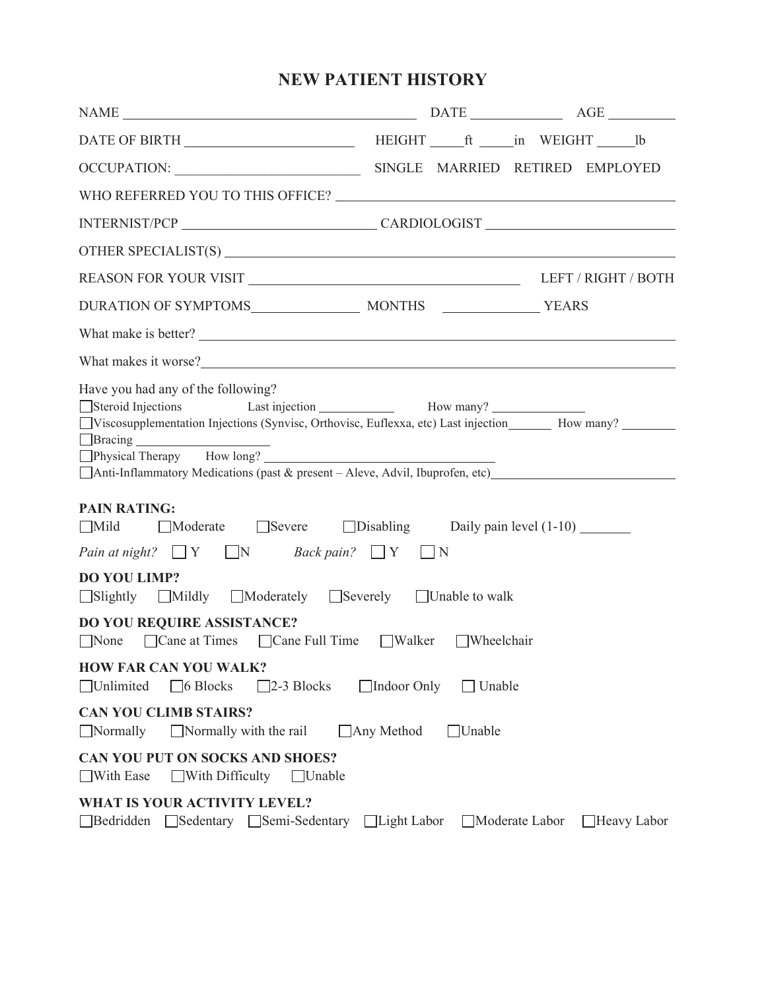## **NEW PATIENT HISTORY**

| $\begin{tabular}{ c c c c } \hline \multicolumn{3}{ c }{\text{NAME}} & \multicolumn{3}{ c }{\text{NAME}}\\ \hline \multicolumn{3}{ c }{\text{NAME}} & \multicolumn{3}{ c }{\text{NAME}}\\ \hline \multicolumn{3}{ c }{\text{NAME}} & \multicolumn{3}{ c }{\text{Weak}}\\ \hline \multicolumn{3}{ c }{\text{NAME}} & \multicolumn{3}{ c }{\text{Weak}}\\ \hline \multicolumn{3}{ c }{\text{NAME}} & \multicolumn{3}{ c }{\text{Weak}}\\ \hline \multicolumn{3}{ c }{\text{NAME}}$ |                    |               |                |             |
|----------------------------------------------------------------------------------------------------------------------------------------------------------------------------------------------------------------------------------------------------------------------------------------------------------------------------------------------------------------------------------------------------------------------------------------------------------------------------------|--------------------|---------------|----------------|-------------|
|                                                                                                                                                                                                                                                                                                                                                                                                                                                                                  |                    |               |                |             |
|                                                                                                                                                                                                                                                                                                                                                                                                                                                                                  |                    |               |                |             |
| WHO REFERRED YOU TO THIS OFFICE?                                                                                                                                                                                                                                                                                                                                                                                                                                                 |                    |               |                |             |
| INTERNIST/PCP CARDIOLOGIST                                                                                                                                                                                                                                                                                                                                                                                                                                                       |                    |               |                |             |
|                                                                                                                                                                                                                                                                                                                                                                                                                                                                                  |                    |               |                |             |
|                                                                                                                                                                                                                                                                                                                                                                                                                                                                                  |                    |               |                |             |
|                                                                                                                                                                                                                                                                                                                                                                                                                                                                                  |                    |               |                |             |
| What make is better?                                                                                                                                                                                                                                                                                                                                                                                                                                                             |                    |               |                |             |
|                                                                                                                                                                                                                                                                                                                                                                                                                                                                                  |                    |               |                |             |
| Have you had any of the following?<br>□ Viscosupplementation Injections (Synvisc, Orthovisc, Euflexxa, etc) Last injection ______ How many? ________<br>□Physical Therapy How long? △<br>□ Anti-Inflammatory Medications (past & present - Aleve, Advil, Ibuprofen, etc)                                                                                                                                                                                                         |                    |               |                |             |
| <b>PAIN RATING:</b><br>■Moderate ■ Severe ■ Disabling Daily pain level (1-10)<br>$\Box$ Mild<br><i>Pain at night?</i> $\Box Y$ $\Box N$ <i>Back pain?</i> $\Box Y$<br><b>DO YOU LIMP?</b><br>□Slightly □Mildly □Moderately □Severely □Unable to walk                                                                                                                                                                                                                             | $\vert \ \vert N$  |               |                |             |
| <b>DO YOU REQUIRE ASSISTANCE?</b>                                                                                                                                                                                                                                                                                                                                                                                                                                                |                    |               |                |             |
| □ Cane at Times □ Cane Full Time □ Walker □ Wheelchair<br>$\Box$ None                                                                                                                                                                                                                                                                                                                                                                                                            |                    |               |                |             |
| <b>HOW FAR CAN YOU WALK?</b><br>$\Box$ Unlimited<br>$\Box$ 6 Blocks<br>$\square$ 2-3 Blocks                                                                                                                                                                                                                                                                                                                                                                                      | Indoor Only        | $\Box$ Unable |                |             |
| <b>CAN YOU CLIMB STAIRS?</b><br>$\Box$ Normally<br>$\Box$ Normally with the rail                                                                                                                                                                                                                                                                                                                                                                                                 | $\Box$ Any Method  | $\Box$ Unable |                |             |
| CAN YOU PUT ON SOCKS AND SHOES?<br>With Ease<br>With Difficulty<br>$\Box$ Unable                                                                                                                                                                                                                                                                                                                                                                                                 |                    |               |                |             |
| <b>WHAT IS YOUR ACTIVITY LEVEL?</b><br>Bedridden<br>□ Sedentary □ Semi-Sedentary                                                                                                                                                                                                                                                                                                                                                                                                 | $\Box$ Light Labor |               | Moderate Labor | Heavy Labor |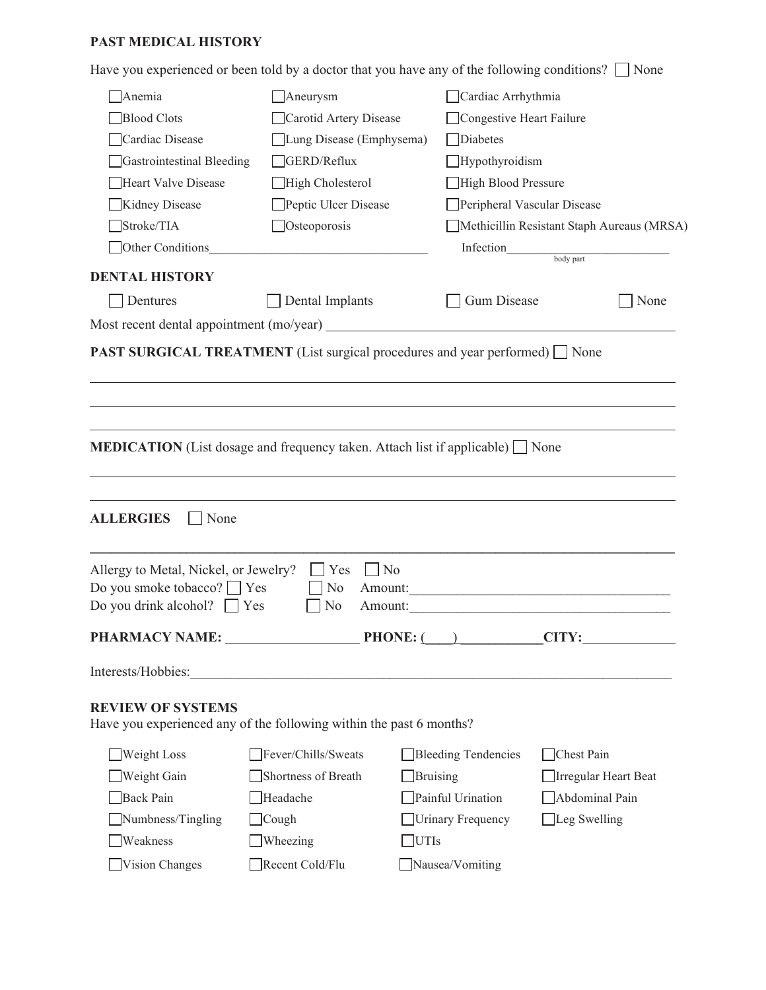#### **PAST MEDICAL HISTORY**

Have you experienced or been told by a doctor that you have any of the following conditions?  $\Box$  None

| Anemia                                                                                          | $\Box$ Aneurysm                                                 | Cardiac Arrhythmia         |                                            |
|-------------------------------------------------------------------------------------------------|-----------------------------------------------------------------|----------------------------|--------------------------------------------|
| <b>Blood Clots</b>                                                                              | Carotid Artery Disease                                          | Congestive Heart Failure   |                                            |
| Cardiac Disease                                                                                 | Lung Disease (Emphysema)                                        | <b>Diabetes</b>            |                                            |
| Gastrointestinal Bleeding                                                                       | GERD/Reflux                                                     | $\Box$ Hypothyroidism      |                                            |
| <b>Heart Valve Disease</b>                                                                      | High Cholesterol                                                | High Blood Pressure        |                                            |
| Kidney Disease                                                                                  | Peptic Ulcer Disease                                            |                            | Peripheral Vascular Disease                |
| Stroke/TIA                                                                                      | $\Box$ Osteoporosis                                             |                            | Methicillin Resistant Staph Aureaus (MRSA) |
| Other Conditions                                                                                | <u> 1980 - Johann Barn, mars an t-Amerikaansk kommunister (</u> | Infection                  | body part                                  |
| <b>DENTAL HISTORY</b>                                                                           |                                                                 |                            |                                            |
| Dentures                                                                                        | Dental Implants                                                 | <b>Gum Disease</b>         | None                                       |
|                                                                                                 |                                                                 |                            |                                            |
|                                                                                                 |                                                                 |                            |                                            |
| <b>MEDICATION</b> (List dosage and frequency taken. Attach list if applicable) $\Box$ None      |                                                                 |                            |                                            |
| <b>ALLERGIES</b><br>None                                                                        |                                                                 |                            |                                            |
| Allergy to Metal, Nickel, or Jewelry?<br>Do you smoke tobacco? ■ Yes                            | Yes<br>$\blacksquare$ No<br>No                                  |                            |                                            |
| Do you drink alcohol? $\Box$ Yes                                                                | No                                                              | Amount:                    |                                            |
| PHARMACY NAME: ____                                                                             |                                                                 | $PHONE:$ ( )               | $\_CITY:$                                  |
| Interests/Hobbies:                                                                              | <u> 1980 - Johann John Stein, marwolaethau (b. 1980)</u>        |                            |                                            |
| <b>REVIEW OF SYSTEMS</b><br>Have you experienced any of the following within the past 6 months? |                                                                 |                            |                                            |
| Weight Loss                                                                                     | Fever/Chills/Sweats                                             | <b>Bleeding Tendencies</b> | Chest Pain                                 |
| Weight Gain                                                                                     | Shortness of Breath                                             | <b>Bruising</b>            | Irregular Heart Beat                       |
| <b>Back Pain</b>                                                                                | Headache                                                        | Painful Urination          | Abdominal Pain                             |
| Numbness/Tingling                                                                               | $\exists$ Cough                                                 | <b>Urinary Frequency</b>   | $\Box$ Leg Swelling                        |
| Weakness                                                                                        | Wheezing                                                        | <b>UTIs</b>                |                                            |
| Vision Changes                                                                                  | Recent Cold/Flu                                                 | Nausea/Vomiting            |                                            |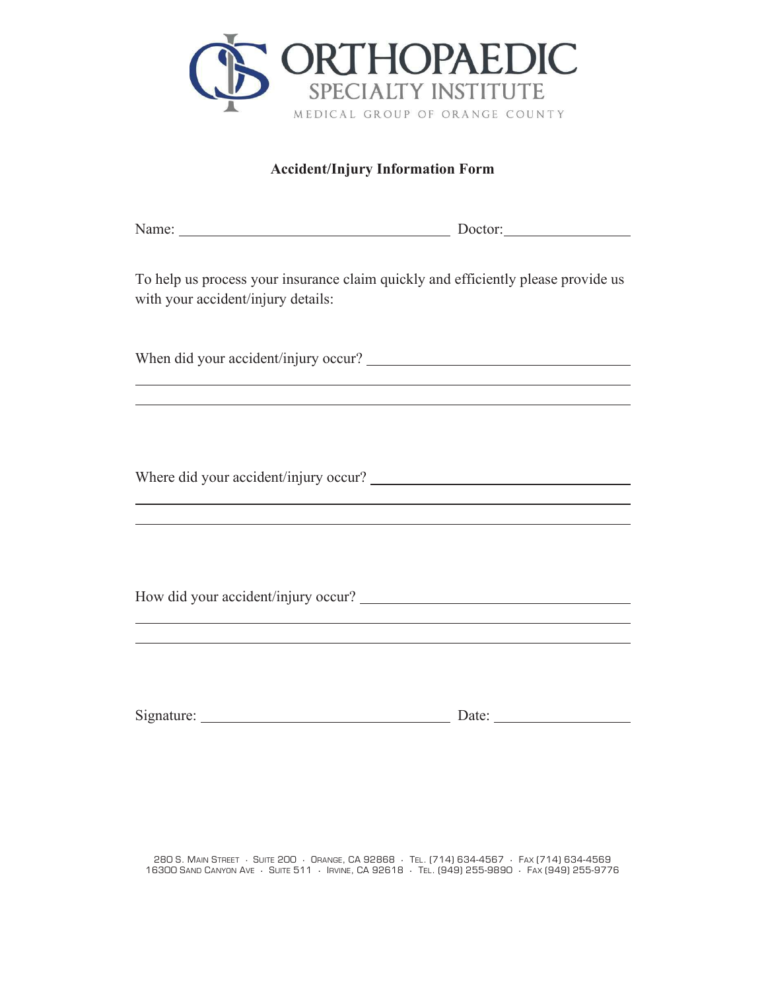

#### **Accident/Injury Information Form**

| Name: Doctor: Doctor:                                                                                                                           |  |
|-------------------------------------------------------------------------------------------------------------------------------------------------|--|
| To help us process your insurance claim quickly and efficiently please provide us<br>with your accident/injury details:                         |  |
|                                                                                                                                                 |  |
| <u> 1989 - Johann Stoff, amerikansk politiker (d. 1989)</u><br>,我们也不会有什么。""我们的人,我们也不会有什么?""我们的人,我们也不会有什么?""我们的人,我们的人,我们的人,我们的人,我们的人,我们的人,我们的人,我 |  |
|                                                                                                                                                 |  |
|                                                                                                                                                 |  |
| ,我们也不会有什么。""我们的人,我们也不会有什么?""我们的人,我们也不会有什么?""我们的人,我们的人,我们的人,我们的人,我们的人,我们的人,我们的人,我                                                                |  |
|                                                                                                                                                 |  |
| <u> 1989 - Johann Stein, marwolaethau a bhann an t-Albann ann an t-Albann an t-Albann an t-Albann an t-Albann an </u>                           |  |
|                                                                                                                                                 |  |
|                                                                                                                                                 |  |

280 S. Main Street · Suite 200 · Orange, CA 92868 · Tel. (714) 634-4567 · Fax (714) 634-4569 16300 SAND CANYON AVE · SUITE 511 · IRVINE, CA 92618 · TEL. (949) 255-9890 · FAX (949) 255-9776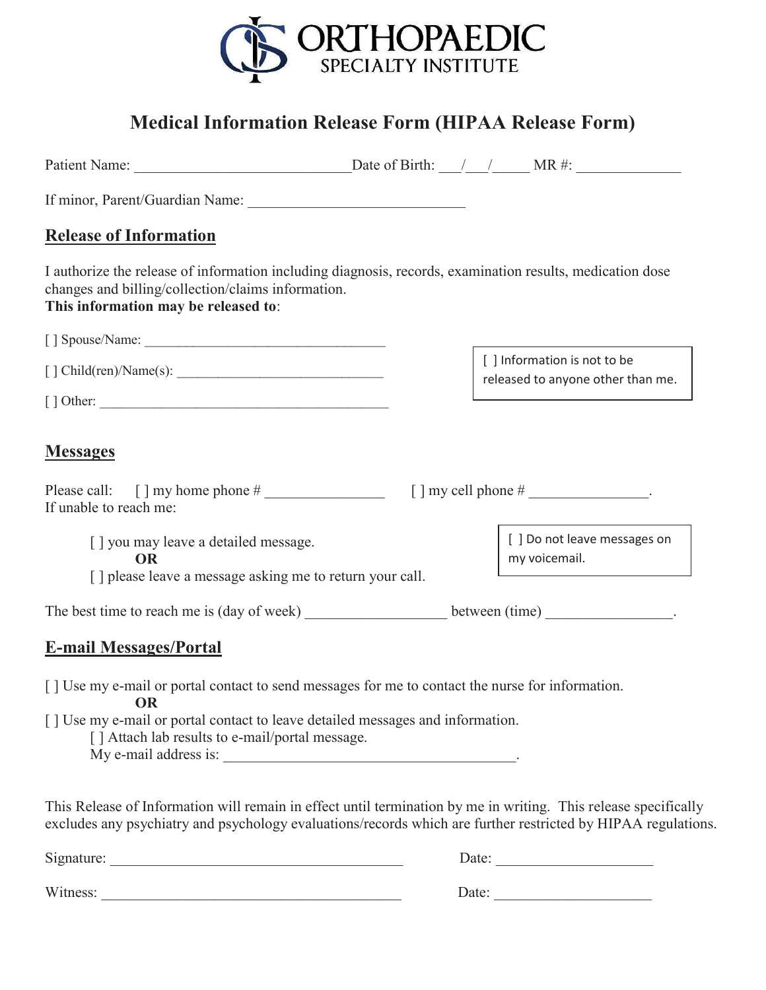

# **Medical Information Release Form (HIPAA Release Form)**

| If minor, Parent/Guardian Name:                                                                                                                                                                         |  |                                                                   |
|---------------------------------------------------------------------------------------------------------------------------------------------------------------------------------------------------------|--|-------------------------------------------------------------------|
| <b>Release of Information</b>                                                                                                                                                                           |  |                                                                   |
| I authorize the release of information including diagnosis, records, examination results, medication dose<br>changes and billing/collection/claims information.<br>This information may be released to: |  |                                                                   |
|                                                                                                                                                                                                         |  |                                                                   |
| [ ] Child(ren)/Name(s):                                                                                                                                                                                 |  | [ ] Information is not to be<br>released to anyone other than me. |
|                                                                                                                                                                                                         |  |                                                                   |
| <b>Messages</b><br>If unable to reach me:                                                                                                                                                               |  | $[ ]$ my cell phone $#$ _________________.                        |
| [] you may leave a detailed message.<br><b>OR</b>                                                                                                                                                       |  | [] Do not leave messages on<br>my voicemail.                      |
| [] please leave a message asking me to return your call.                                                                                                                                                |  |                                                                   |
| The best time to reach me is (day of week) _________________________ between (time) ________________.                                                                                                   |  |                                                                   |
| <b>E-mail Messages/Portal</b>                                                                                                                                                                           |  |                                                                   |
| [] Use my e-mail or portal contact to send messages for me to contact the nurse for information.<br><b>OR</b>                                                                                           |  |                                                                   |
| [] Use my e-mail or portal contact to leave detailed messages and information.<br>[] Attach lab results to e-mail/portal message.<br>My e-mail address is:                                              |  |                                                                   |

This Release of Information will remain in effect until termination by me in writing. This release specifically excludes any psychiatry and psychology evaluations/records which are further restricted by HIPAA regulations.

Signature: \_\_\_\_\_\_\_\_\_\_\_\_\_\_\_\_\_\_\_\_\_\_\_\_\_\_\_\_\_\_\_\_\_\_\_\_\_\_\_ Date: \_\_\_\_\_\_\_\_\_\_\_\_\_\_\_\_\_\_\_\_\_ Witness: \_\_\_\_\_\_\_\_\_\_\_\_\_\_\_\_\_\_\_\_\_\_\_\_\_\_\_\_\_\_\_\_\_\_\_\_\_\_\_\_ Date: \_\_\_\_\_\_\_\_\_\_\_\_\_\_\_\_\_\_\_\_\_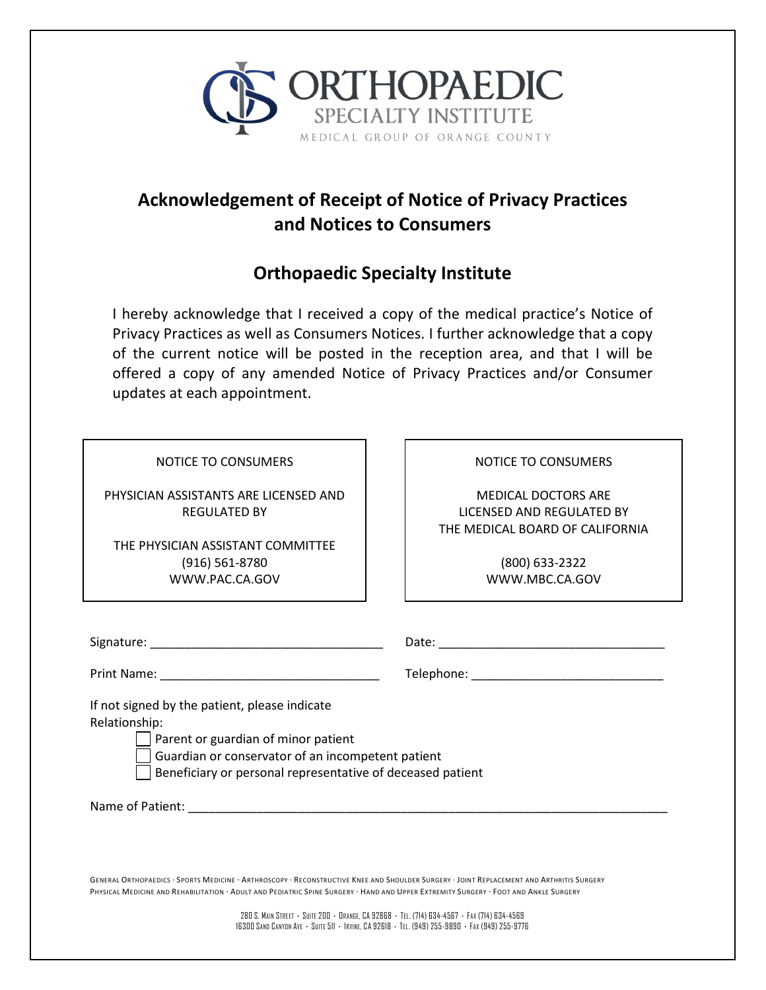

## **Acknowledgement of Receipt of Notice of Privacy Practices and Notices to Consumers**

## **Orthopaedic Specialty Institute**

I hereby acknowledge that I received a copy of the medical practice's Notice of Privacy Practices as well as Consumers Notices. I further acknowledge that a copy of the current notice will be posted in the reception area, and that I will be offered a copy of any amended Notice of Privacy Practices and/or Consumer updates at each appointment.

NOTICE TO CONSUMERS

PHYSICIAN ASSISTANTS ARE LICENSED AND REGULATED BY

THE PHYSICIAN ASSISTANT COMMITTEE (916) 561-8780 WWW.PAC.CA.GOV

NOTICE TO CONSUMERS

MEDICAL DOCTORS ARE LICENSED AND REGULATED BY THE MEDICAL BOARD OF CALIFORNIA

> (800) 633-2322 WWW.MBC.CA.GOV

| Signature: | Date: |
|------------|-------|
|            |       |

Print Name: \_\_\_\_\_\_\_\_\_\_\_\_\_\_\_\_\_\_\_\_\_\_\_\_\_\_\_\_\_\_\_\_ Telephone: \_\_\_\_\_\_\_\_\_\_\_\_\_\_\_\_\_\_\_\_\_\_\_\_\_\_\_\_

If not signed by the patient, please indicate Relationship:

Parent or guardian of minor patient

Guardian or conservator of an incompetent patient

Beneficiary or personal representative of deceased patient

Name of Patient: where the state of  $\mathcal{L}$ 

GENERAL ORTHOPAEDICS · SPORTS MEDICINE · ARTHROSCOPY · RECONSTRUCTIVE KNEE AND SHOULDER SURGERY · JOINT REPLACEMENT AND ARTHRITIS SURGERY PHYSICAL MEDICINE AND REHABILITATION · ADULT AND PEDIATRIC SPINE SURGERY · HAND AND UPPER EXTREMITY SURGERY · FOOT AND ANKLE SURGERY

> 280 S. MAIN STREET **·** SUITE 200 **·** ORANGE, CA 92868 **·** TEL. (714) 634-4567 **·** FAX (714) 634-4569 16300 SAND CANYON AVE **·** SUITE 511 **·** IRVINE, CA 92618 **·** TEL. (949) 255-9890 **·** FAX (949) 255-9776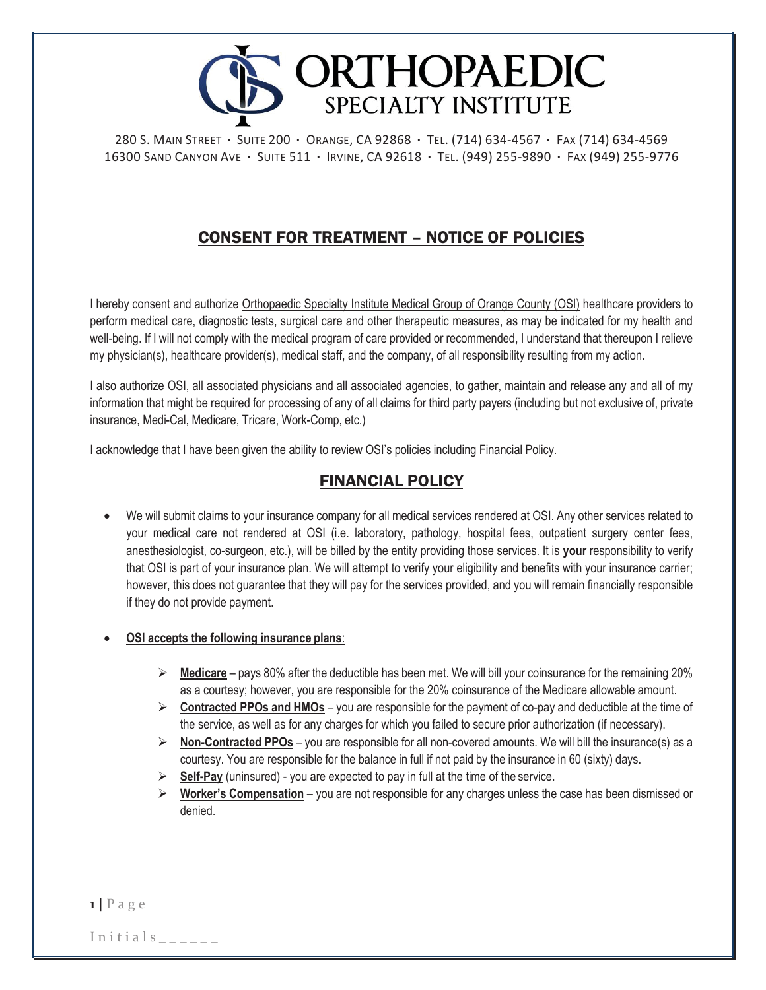

280 S. MAIN STREET **·** SUITE 200 **·** ORANGE, CA 92868 **·** TEL. (714) 634-4567 **·** FAX (714) 634-4569 16300 SAND CANYON AVE **·** SUITE 511 **·** IRVINE, CA 92618 **·** TEL. (949) 255-9890 **·** FAX (949) 255-9776

## CONSENT FOR TREATMENT – NOTICE OF POLICIES

I hereby consent and authorize Orthopaedic Specialty Institute Medical Group of Orange County (OSI) healthcare providers to perform medical care, diagnostic tests, surgical care and other therapeutic measures, as may be indicated for my health and well-being. If I will not comply with the medical program of care provided or recommended, I understand that thereupon I relieve my physician(s), healthcare provider(s), medical staff, and the company, of all responsibility resulting from my action.

I also authorize OSI, all associated physicians and all associated agencies, to gather, maintain and release any and all of my information that might be required for processing of any of all claims for third party payers (including but not exclusive of, private insurance, Medi-Cal, Medicare, Tricare, Work-Comp, etc.)

I acknowledge that I have been given the ability to review OSI's policies including Financial Policy.

### FINANCIAL POLICY

- · We will submit claims to your insurance company for all medical services rendered at OSI. Any other services related to your medical care not rendered at OSI (i.e. laboratory, pathology, hospital fees, outpatient surgery center fees, anesthesiologist, co-surgeon, etc.), will be billed by the entity providing those services. It is **your** responsibility to verify that OSI is part of your insurance plan. We will attempt to verify your eligibility and benefits with your insurance carrier; however, this does not guarantee that they will pay for the services provided, and you will remain financially responsible if they do not provide payment.
- · **OSI accepts the following insurance plans**:
	- ÿ **Medicare**  pays 80% after the deductible has been met. We will bill your coinsurance for the remaining 20% as a courtesy; however, you are responsible for the 20% coinsurance of the Medicare allowable amount.
	- $\triangleright$  **Contracted PPOs and HMOs** you are responsible for the payment of co-pay and deductible at the time of the service, as well as for any charges for which you failed to secure prior authorization (if necessary).
	- ÿ **Non-Contracted PPOs**  you are responsible for all non-covered amounts. We will bill the insurance(s) as a courtesy. You are responsible for the balance in full if not paid by the insurance in 60 (sixty) days.
	- ÿ **Self-Pay** (uninsured) you are expected to pay in full at the time of the service.
	- ÿ **Worker's Compensation** you are not responsible for any charges unless the case has been dismissed or denied.

 $1$  | P a g e

 $In itials$  \_ \_ \_ \_ \_